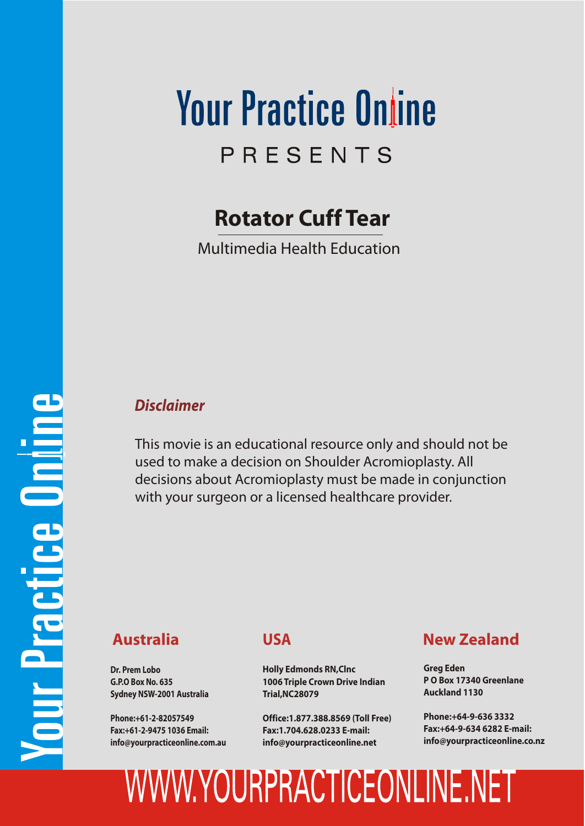## **Your Practice Online** PRESENTS

### **Rotator Cuff Tear**

Multimedia Health Education

#### *Disclaimer*

This movie is an educational resource only and should not be used to make a decision on Shoulder Acromioplasty. All decisions about Acromioplasty must be made in conjunction with your surgeon or a licensed healthcare provider.

**Dr. Prem Lobo G.P.O Box No. 635 Sydney NSW-2001 Australia**

**Phone:+61-2-82057549 Fax:+61-2-9475 1036 Email: info@yourpracticeonline.com.au**

### **USA**

**Holly Edmonds RN,Clnc 1006 Triple Crown Drive Indian Trial,NC28079**

**Office:1.877.388.8569 (Toll Free) Fax:1.704.628.0233 E-mail: info@yourpracticeonline.net**

### **Australia New Zealand**

**Greg Eden P O Box 17340 Greenlane Auckland 1130**

**Phone:+64-9-636 3332 Fax:+64-9-634 6282 E-mail: info@yourpracticeonline.co.nz**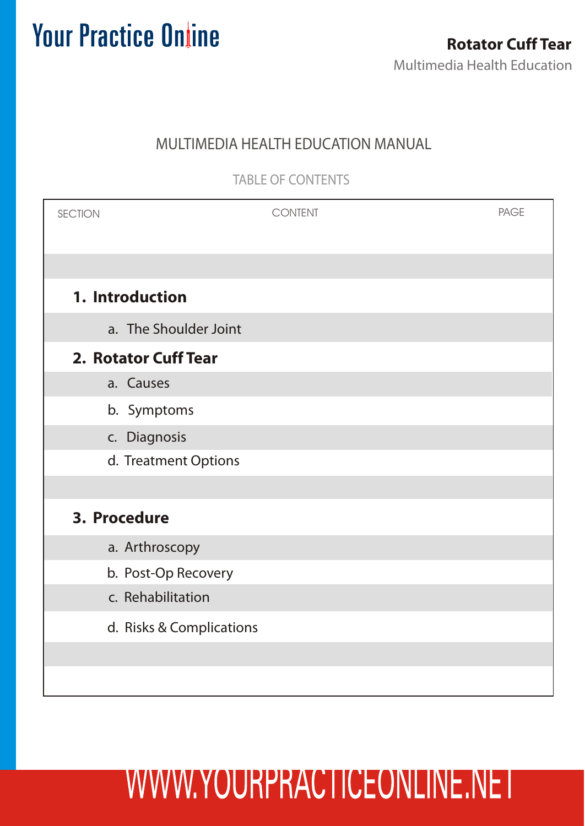### MULTIMEDIA HEALTH EDUCATION MANUAL

TABLE OF CONTENTS

| <b>SECTION</b>       |                          | <b>CONTENT</b> | <b>PAGE</b> |
|----------------------|--------------------------|----------------|-------------|
|                      |                          |                |             |
| 1. Introduction      |                          |                |             |
|                      | a. The Shoulder Joint    |                |             |
| 2. Rotator Cuff Tear |                          |                |             |
| a. Causes            |                          |                |             |
|                      | b. Symptoms              |                |             |
|                      | c. Diagnosis             |                |             |
|                      | d. Treatment Options     |                |             |
|                      |                          |                |             |
| 3. Procedure         |                          |                |             |
|                      | a. Arthroscopy           |                |             |
|                      | b. Post-Op Recovery      |                |             |
|                      | c. Rehabilitation        |                |             |
|                      | d. Risks & Complications |                |             |
|                      |                          |                |             |
|                      |                          |                |             |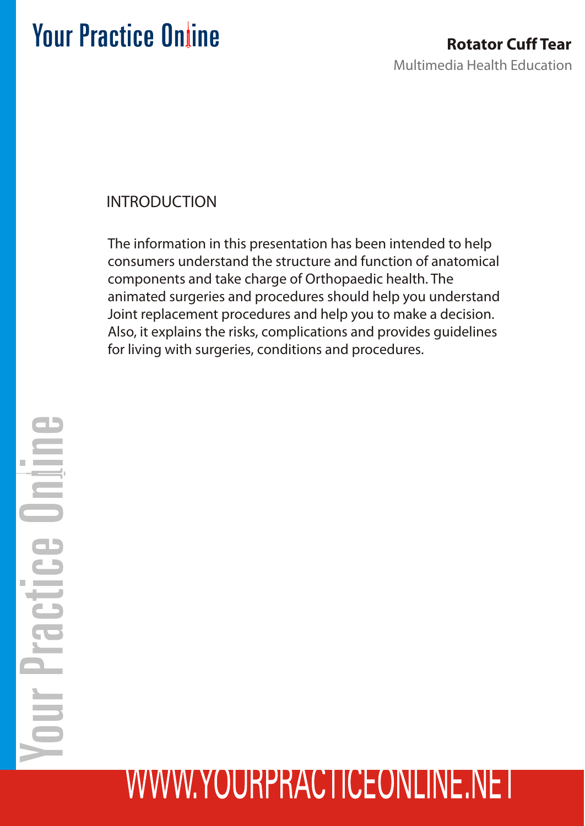### INTRODUCTION

The information in this presentation has been intended to help consumers understand the structure and function of anatomical components and take charge of Orthopaedic health. The animated surgeries and procedures should help you understand Joint replacement procedures and help you to make a decision. Also, it explains the risks, complications and provides guidelines for living with surgeries, conditions and procedures.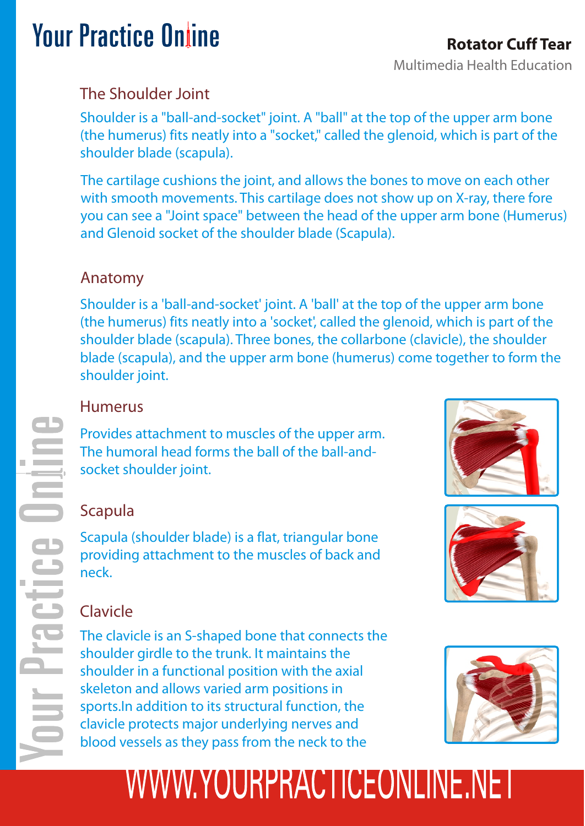#### Multimedia Health Education **Rotator Cuff Tear**

### The Shoulder Joint

Shoulder is a "ball-and-socket" joint. A "ball" at the top of the upper arm bone (the humerus) fits neatly into a "socket," called the glenoid, which is part of the shoulder blade (scapula).

The cartilage cushions the joint, and allows the bones to move on each other with smooth movements. This cartilage does not show up on X-ray, there fore you can see a "Joint space" between the head of the upper arm bone (Humerus) and Glenoid socket of the shoulder blade (Scapula).

### Anatomy

Shoulder is a 'ball-and-socket' joint. A 'ball' at the top of the upper arm bone (the humerus) fits neatly into a 'socket', called the glenoid, which is part of the shoulder blade (scapula). Three bones, the collarbone (clavicle), the shoulder blade (scapula), and the upper arm bone (humerus) come together to form the shoulder joint.

### Humerus

Provides attachment to muscles of the upper arm. The humoral head forms the ball of the ball-andsocket shoulder joint.

### Scapula

Scapula (shoulder blade) is a flat, triangular bone providing attachment to the muscles of back and neck.



### Clavicle

The clavicle is an S-shaped bone that connects the shoulder girdle to the trunk. It maintains the shoulder in a functional position with the axial skeleton and allows varied arm positions in sports.In addition to its structural function, the clavicle protects major underlying nerves and blood vessels as they pass from the neck to the

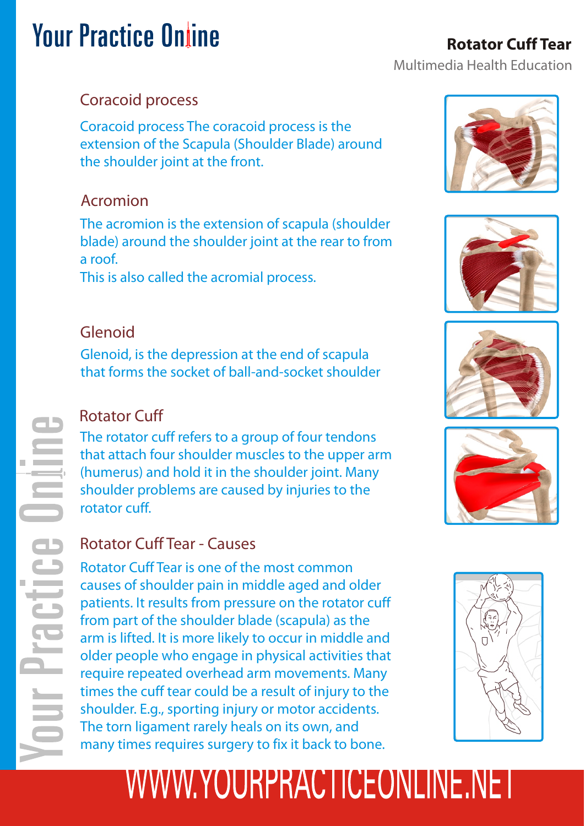#### Multimedia Health Education **Rotator Cuff Tear**

### Coracoid process

Coracoid process The coracoid process is the extension of the Scapula (Shoulder Blade) around the shoulder joint at the front.

### Acromion

The acromion is the extension of scapula (shoulder blade) around the shoulder joint at the rear to from a roof.

This is also called the acromial process.

### Glenoid

Glenoid, is the depression at the end of scapula that forms the socket of ball-and-socket shoulder

### Rotator Cuff

The rotator cuff refers to a group of four tendons that attach four shoulder muscles to the upper arm (humerus) and hold it in the shoulder joint. Many shoulder problems are caused by injuries to the rotator cuff.

### Rotator Cuff Tear - Causes

Rotator Cuff Tear is one of the most common causes of shoulder pain in middle aged and older patients. It results from pressure on the rotator cuff from part of the shoulder blade (scapula) as the arm is lifted. It is more likely to occur in middle and older people who engage in physical activities that require repeated overhead arm movements. Many times the cuff tear could be a result of injury to the shoulder. E.g., sporting injury or motor accidents. The torn ligament rarely heals on its own, and many times requires surgery to fix it back to bone.









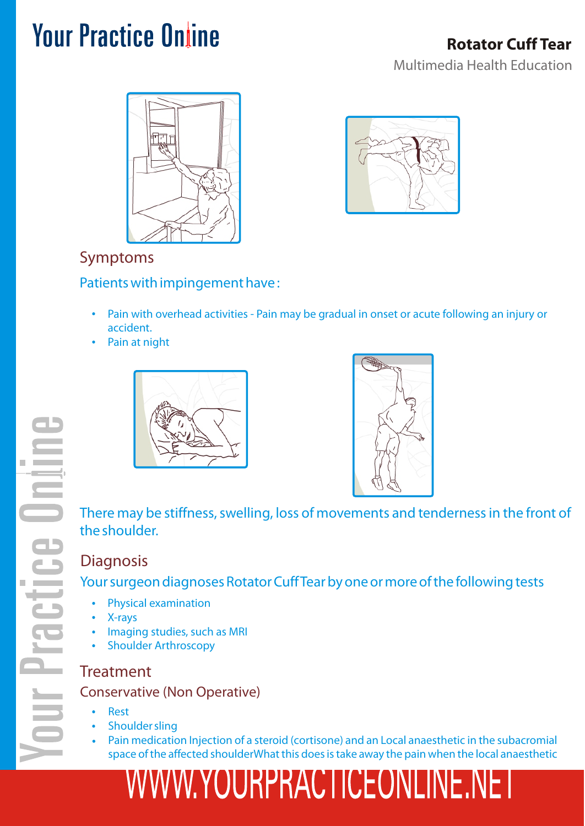



### Symptoms

#### Patients with impingement have :

- Pain with overhead activities Pain may be gradual in onset or acute following an injury or accident.
- Pain at night





There may be stiffness, swelling, loss of movements and tenderness in the front of the shoulder.

### **Diagnosis**

Your surgeon diagnoses Rotator Cuff Tear by one or more of the following tests

- Physical examination
- X-rays
- Imaging studies, such as MRI
- Shoulder Arthroscopy

#### **Treatment**

#### Conservative (Non Operative)

- Rest
- Shoulder sling
- Pain medication Injection of a steroid (cortisone) and an Local anaesthetic in the subacromial space of the affected shoulderWhat this does is take away the pain when the local anaesthetic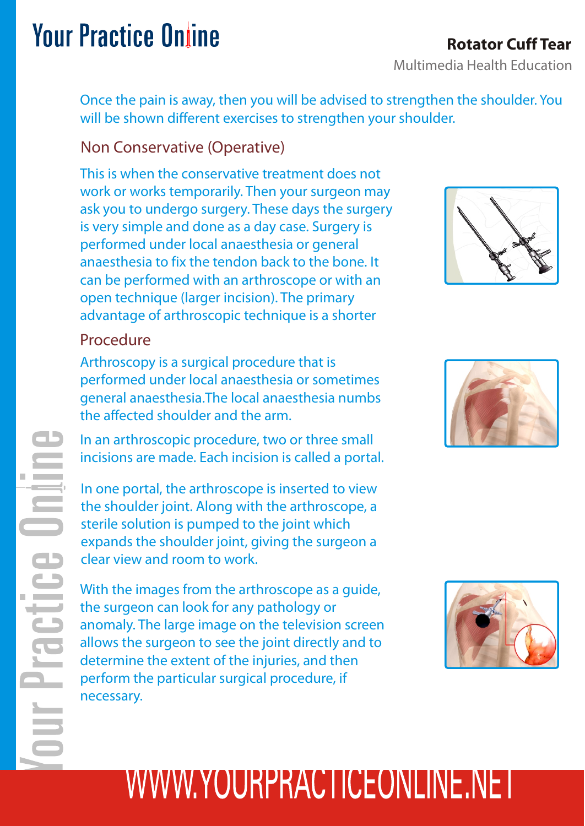### **Rotator Cuff Tear**

Multimedia Health Education

Once the pain is away, then you will be advised to strengthen the shoulder. You will be shown different exercises to strengthen your shoulder.

#### Non Conservative (Operative)

This is when the conservative treatment does not work or works temporarily. Then your surgeon may ask you to undergo surgery. These days the surgery is very simple and done as a day case. Surgery is performed under local anaesthesia or general anaesthesia to fix the tendon back to the bone. It can be performed with an arthroscope or with an open technique (larger incision). The primary advantage of arthroscopic technique is a shorter

### Procedure

云

Arthroscopy is a surgical procedure that is performed under local anaesthesia or sometimes general anaesthesia.The local anaesthesia numbs the affected shoulder and the arm.

In an arthroscopic procedure, two or three small incisions are made. Each incision is called a portal.

In one portal, the arthroscope is inserted to view the shoulder joint. Along with the arthroscope, a sterile solution is pumped to the joint which expands the shoulder joint, giving the surgeon a clear view and room to work.

With the images from the arthroscope as a guide, the surgeon can look for any pathology or anomaly. The large image on the television screen allows the surgeon to see the joint directly and to determine the extent of the injuries, and then perform the particular surgical procedure, if necessary.





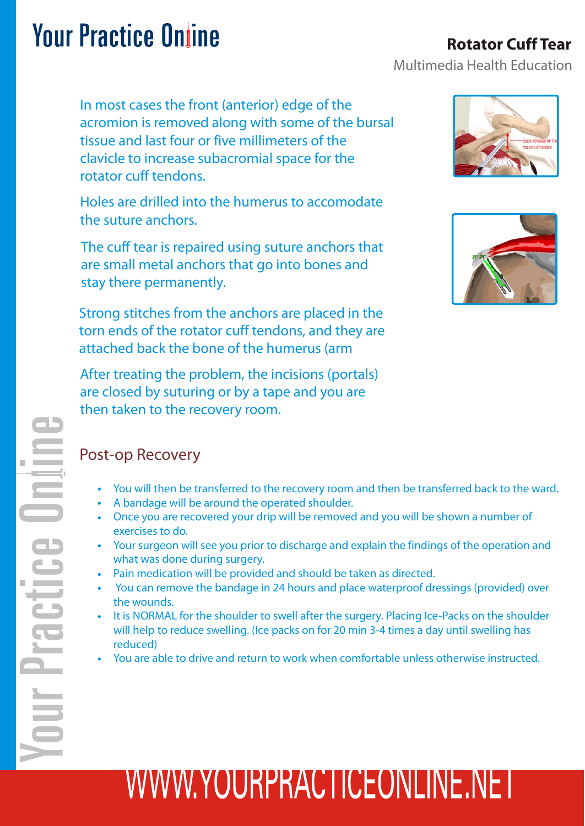In most cases the front (anterior) edge of the acromion is removed along with some of the bursal tissue and last four or five millimeters of the clavicle to increase subacromial space for the rotator cuff tendons.

Holes are drilled into the humerus to accomodate the suture anchors.

The cuff tear is repaired using suture anchors that are small metal anchors that go into bones and stay there permanently.

Strong stitches from the anchors are placed in the torn ends of the rotator cuff tendons, and they are attached back the bone of the humerus (arm

After treating the problem, the incisions (portals) are closed by suturing or by a tape and you are then taken to the recovery room.

#### Post-op Recovery

- You will then be transferred to the recovery room and then be transferred back to the ward.
- A bandage will be around the operated shoulder.
- Once you are recovered your drip will be removed and you will be shown a number of exercises to do.
- Your surgeon will see you prior to discharge and explain the findings of the operation and what was done during surgery.
- Pain medication will be provided and should be taken as directed.
- You can remove the bandage in 24 hours and place waterproof dressings (provided) over the wounds.
- It is NORMAL for the shoulder to swell after the surgery. Placing Ice-Packs on the shoulder will help to reduce swelling. (Ice packs on for 20 min 3-4 times a day until swelling has reduced)
- You are able to drive and return to work when comfortable unless otherwise instructed.

# WWW.YOURPRACTICEONLINE.NET





### **Rotator Cuff Tear**

Multimedia Health Education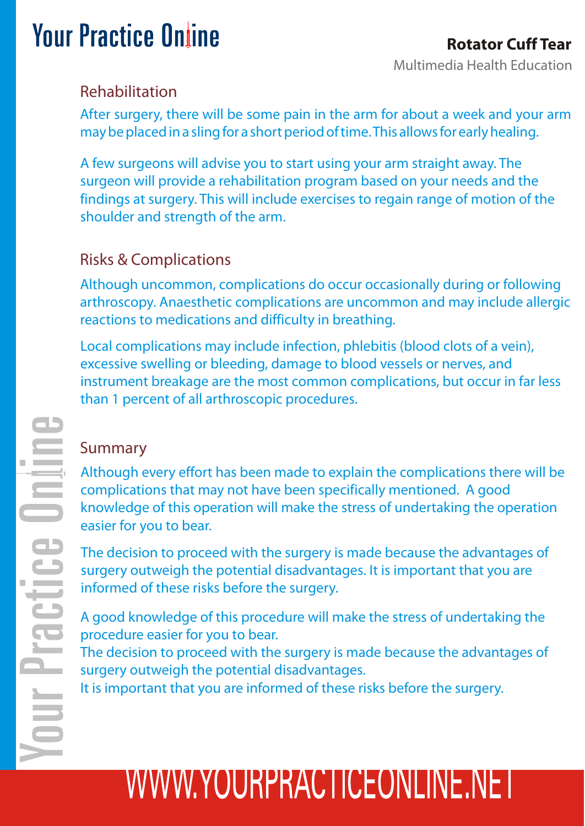### Rehabilitation

After surgery, there will be some pain in the arm for about a week and your arm may be placed in a sling for a short period of time. This allows for early healing.

A few surgeons will advise you to start using your arm straight away. The surgeon will provide a rehabilitation program based on your needs and the findings at surgery. This will include exercises to regain range of motion of the shoulder and strength of the arm.

### Risks & Complications

Although uncommon, complications do occur occasionally during or following arthroscopy. Anaesthetic complications are uncommon and may include allergic reactions to medications and difficulty in breathing.

Local complications may include infection, phlebitis (blood clots of a vein), excessive swelling or bleeding, damage to blood vessels or nerves, and instrument breakage are the most common complications, but occur in far less than 1 percent of all arthroscopic procedures.

### Summary

Although every effort has been made to explain the complications there will be complications that may not have been specifically mentioned. A good knowledge of this operation will make the stress of undertaking the operation easier for you to bear.

The decision to proceed with the surgery is made because the advantages of surgery outweigh the potential disadvantages. It is important that you are informed of these risks before the surgery.

A good knowledge of this procedure will make the stress of undertaking the procedure easier for you to bear.

The decision to proceed with the surgery is made because the advantages of surgery outweigh the potential disadvantages.

It is important that you are informed of these risks before the surgery.